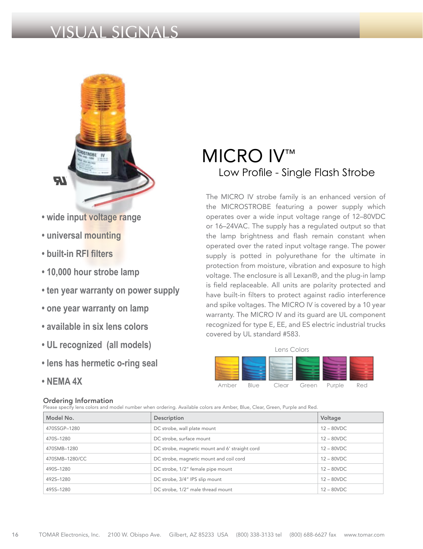### VISUAL SIGNALS



- **wide input voltage range**
- **universal mounting**
- **built-in RFI filters**
- **10,000 hour strobe lamp**
- **ten year warranty on power supply**
- **one year warranty on lamp**
- **available in six lens colors**
- **UL recognized (all models)**
- **lens has hermetic o-ring seal**
- **NEMA 4X**

#### Ordering Information

Please specify lens colors and model number when ordering. Available colors are Amber, Blue, Clear, Green, Purple and Red.

## MICRO IV™ Low Profile - Single Flash Strobe

The MICRO IV strobe family is an enhanced version of the MICROSTROBE featuring a power supply which operates over a wide input voltage range of 12–80VDC or 16–24VAC. The supply has a regulated output so that the lamp brightness and flash remain constant when operated over the rated input voltage range. The power supply is potted in polyurethane for the ultimate in protection from moisture, vibration and exposure to high voltage. The enclosure is all Lexan®, and the plug-in lamp is field replaceable. All units are polarity protected and have built-in filters to protect against radio interference and spike voltages. The MICRO IV is covered by a 10 year warranty. The MICRO IV and its guard are UL component recognized for type E, EE, and ES electric industrial trucks covered by UL standard #583.

# Lens Colors

Amber Blue Clear Green Purple Red

| Model No.      | Description                                    | Voltage       |
|----------------|------------------------------------------------|---------------|
| 470SSGP-1280   | DC strobe, wall plate mount                    | $12 - 80$ VDC |
| 470S-1280      | DC strobe, surface mount                       | $12 - 80$ VDC |
| 470SMB-1280    | DC strobe, magnetic mount and 6' straight cord | $12 - 80$ VDC |
| 470SMB-1280/CC | DC strobe, magnetic mount and coil cord        | $12 - 80$ VDC |
| 490S-1280      | DC strobe, 1/2" female pipe mount              | $12 - 80$ VDC |
| 492S-1280      | DC strobe, 3/4" IPS slip mount                 | $12 - 80$ VDC |
| 495S-1280      | DC strobe, 1/2" male thread mount              | $12 - 80$ VDC |